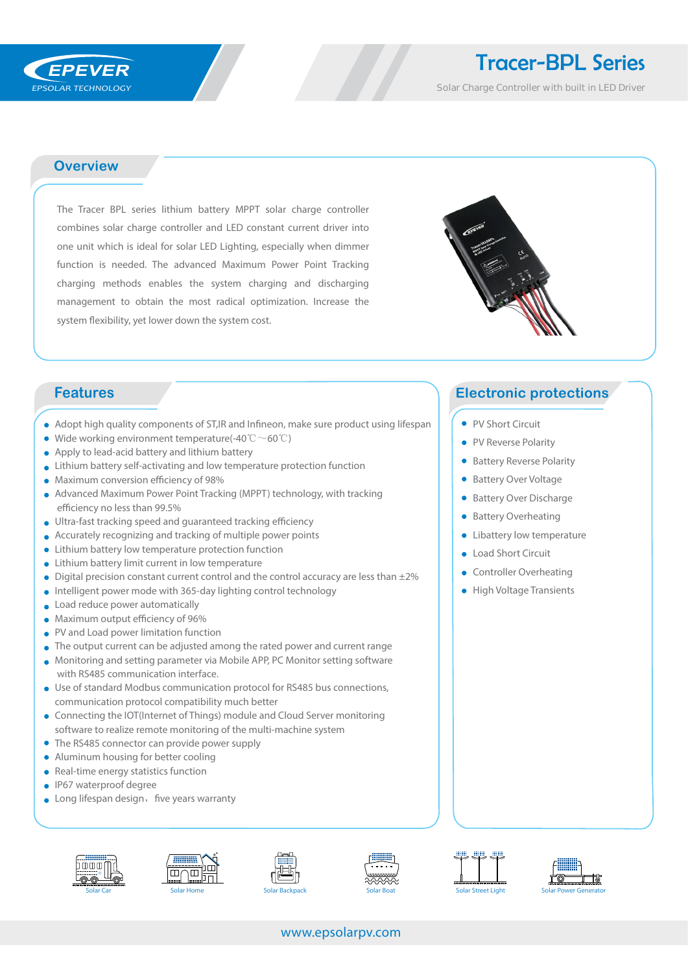## Tracer-BPL Series

Solar Charge Controller with built in LED Driver

#### **Overview**

The Tracer BPL series lithium battery MPPT solar charge controller combines solar charge controller and LED constant current driver into one unit which is ideal for solar LED Lighting, especially when dimmer function is needed. The advanced Maximum Power Point Tracking charging methods enables the system charging and discharging management to obtain the most radical optimization. Increase the system flexibility, yet lower down the system cost.



- Adopt high quality components of ST, IR and Infineon, make sure product using lifespan
- Wide working environment temperature(-40  $\degree \text{C} \sim 60 \degree \text{C}$ )
- Apply to lead-acid battery and lithium battery
- Lithium battery self-activating and low temperature protection function
- $\bullet$  Maximum conversion efficiency of 98%
- Advanced Maximum Power Point Tracking (MPPT) technology, with tracking efficiency no less than 99.5%
- $\bullet$  Ultra-fast tracking speed and guaranteed tracking efficiency
- Accurately recognizing and tracking of multiple power points
- Lithium battery low temperature protection function
- Lithium battery limit current in low temperature
- $\bullet$  Digital precision constant current control and the control accuracy are less than  $\pm 2\%$
- Intelligent power mode with 365-day lighting control technology
- **Load reduce power automatically**
- $\bullet$  Maximum output efficiency of 96%
- PV and Load power limitation function
- The output current can be adjusted among the rated power and current range
- Monitoring and setting parameter via Mobile APP, PC Monitor setting software with RS485 communication interface.
- Use of standard Modbus communication protocol for RS485 bus connections, communication protocol compatibility much better
- Connecting the IOT(Internet of Things) module and Cloud Server monitoring software to realize remote monitoring of the multi-machine system
- The RS485 connector can provide power supply
- Aluminum housing for better cooling
- Real-time energy statistics function
- **IP67** waterproof degree
- $\bullet$  Long lifespan design, five years warranty













#### www.epsolarpv.com

### **Features Electronic protections**

- PV Short Circuit
- PV Reverse Polarity
- **Battery Reverse Polarity**
- Battery Over Voltage
- **Battery Over Discharge**
- Battery Overheating
- Libattery low temperature
- Load Short Circuit
- **Controller Overheating**
- **•** High Voltage Transients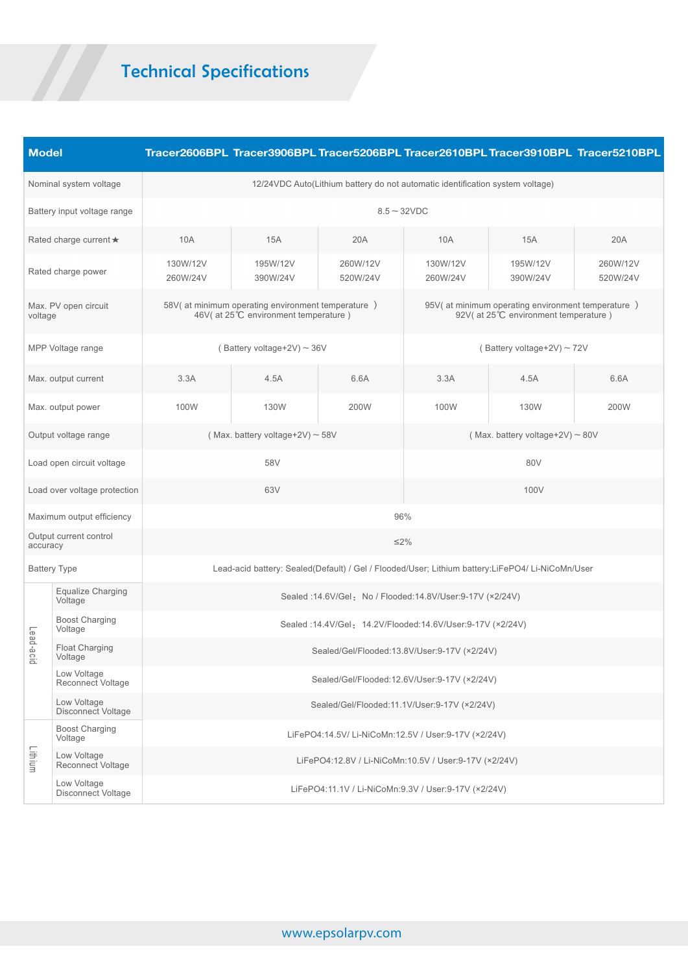# Technical Specifications

| <b>Model</b>                       |                                          |                                                                                                  |                      |                      |                                                                                            |                      | Tracer2606BPL Tracer3906BPL Tracer5206BPL Tracer2610BPL Tracer3910BPL Tracer5210BPL |  |  |  |
|------------------------------------|------------------------------------------|--------------------------------------------------------------------------------------------------|----------------------|----------------------|--------------------------------------------------------------------------------------------|----------------------|-------------------------------------------------------------------------------------|--|--|--|
| Nominal system voltage             |                                          | 12/24VDC Auto(Lithium battery do not automatic identification system voltage)                    |                      |                      |                                                                                            |                      |                                                                                     |  |  |  |
| Battery input voltage range        |                                          | $8.5 - 32VDC$                                                                                    |                      |                      |                                                                                            |                      |                                                                                     |  |  |  |
| Rated charge current ★             |                                          | 10A                                                                                              | 15A                  | 20A                  | 10A                                                                                        | <b>15A</b>           | 20A                                                                                 |  |  |  |
| Rated charge power                 |                                          | 130W/12V<br>260W/24V                                                                             | 195W/12V<br>390W/24V | 260W/12V<br>520W/24V | 130W/12V<br>260W/24V                                                                       | 195W/12V<br>390W/24V | 260W/12V<br>520W/24V                                                                |  |  |  |
| Max. PV open circuit<br>voltage    |                                          | 58V(at minimum operating environment temperature)<br>46V( at 25°C environment temperature)       |                      |                      | 95V(at minimum operating environment temperature)<br>92V( at 25°C environment temperature) |                      |                                                                                     |  |  |  |
| MPP Voltage range                  |                                          | (Battery voltage+2V) $\sim$ 36V                                                                  |                      |                      | (Battery voltage+2V) $\sim$ 72V                                                            |                      |                                                                                     |  |  |  |
| Max. output current                |                                          | 3.3A                                                                                             | 4.5A                 | 6.6A                 | 3.3A                                                                                       | 4.5A                 | 6.6A                                                                                |  |  |  |
| Max. output power                  |                                          | 100W                                                                                             | 130W                 | 200W                 | 100W                                                                                       | 130W                 | 200W                                                                                |  |  |  |
| Output voltage range               |                                          | (Max. battery voltage+2V) $\sim$ 58V                                                             |                      |                      | (Max. battery voltage+2V) $\sim$ 80V                                                       |                      |                                                                                     |  |  |  |
| Load open circuit voltage          |                                          | 58V                                                                                              |                      |                      | 80V                                                                                        |                      |                                                                                     |  |  |  |
| Load over voltage protection       |                                          | 63V                                                                                              |                      |                      | 100V                                                                                       |                      |                                                                                     |  |  |  |
| Maximum output efficiency          |                                          | 96%                                                                                              |                      |                      |                                                                                            |                      |                                                                                     |  |  |  |
| Output current control<br>accuracy |                                          | $\leq$ 2%                                                                                        |                      |                      |                                                                                            |                      |                                                                                     |  |  |  |
| <b>Battery Type</b>                |                                          | Lead-acid battery: Sealed(Default) / Gel / Flooded/User; Lithium battery:LiFePO4/ Li-NiCoMn/User |                      |                      |                                                                                            |                      |                                                                                     |  |  |  |
| Lead-a<br><u>င်း</u>               | Equalize Charging<br>Voltage             | Sealed : 14.6V/Gel: No / Flooded: 14.8V/User: 9-17V (× 2/24V)                                    |                      |                      |                                                                                            |                      |                                                                                     |  |  |  |
|                                    | <b>Boost Charging</b><br>Voltage         | Sealed : 14.4V/Gel: 14.2V/Flooded: 14.6V/User: 9-17V (× 2/24V)                                   |                      |                      |                                                                                            |                      |                                                                                     |  |  |  |
|                                    | <b>Float Charging</b><br>Voltage         | Sealed/Gel/Flooded:13.8V/User:9-17V (×2/24V)                                                     |                      |                      |                                                                                            |                      |                                                                                     |  |  |  |
|                                    | Low Voltage<br>Reconnect Voltage         | Sealed/Gel/Flooded:12.6V/User:9-17V (×2/24V)                                                     |                      |                      |                                                                                            |                      |                                                                                     |  |  |  |
|                                    | Low Voltage<br>Disconnect Voltage        | Sealed/Gel/Flooded:11.1V/User:9-17V (×2/24V)                                                     |                      |                      |                                                                                            |                      |                                                                                     |  |  |  |
| Lithium                            | <b>Boost Charging</b><br>Voltage         | LiFePO4:14.5V/ Li-NiCoMn:12.5V / User:9-17V (×2/24V)                                             |                      |                      |                                                                                            |                      |                                                                                     |  |  |  |
|                                    | Low Voltage<br>Reconnect Voltage         | LiFePO4:12.8V / Li-NiCoMn:10.5V / User:9-17V (×2/24V)                                            |                      |                      |                                                                                            |                      |                                                                                     |  |  |  |
|                                    | Low Voltage<br><b>Disconnect Voltage</b> | LiFePO4:11.1V / Li-NiCoMn:9.3V / User:9-17V (×2/24V)                                             |                      |                      |                                                                                            |                      |                                                                                     |  |  |  |